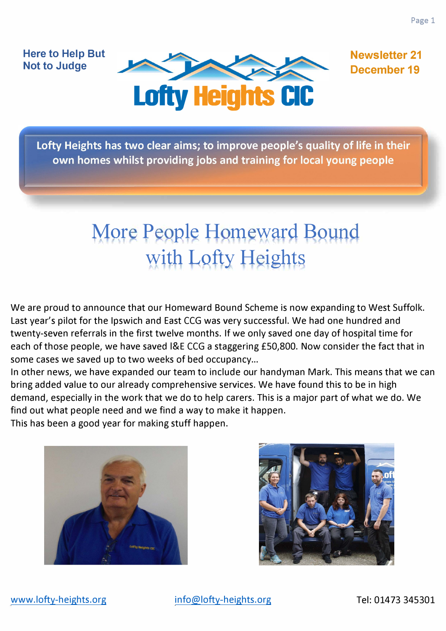**Here to Help But Not to Judge** 



**Newsletter 21 December 19** 

Lofty Heights has two clear aims; to improve people's quality of life in their own homes whilst providing jobs and training for local young people

# **More People Homeward Bound** with Lofty Heights

We are proud to announce that our Homeward Bound Scheme is now expanding to West Suffolk. Last year's pilot for the Ipswich and East CCG was very successful. We had one hundred and twenty-seven referrals in the first twelve months. If we only saved one day of hospital time for each of those people, we have saved l&E CCG a staggering £50,800. Now consider the fact that in some cases we saved up to two weeks of bed occupancy...

In other news, we have expanded our team to include our handyman Mark. This means that we can bring added value to our already comprehensive services. We have found this to be in high demand, especially in the work that we do to help carers. This is a major part of what we do. We find out what people need and we find a way to make it happen.

This has been a good year for making stuff happen.



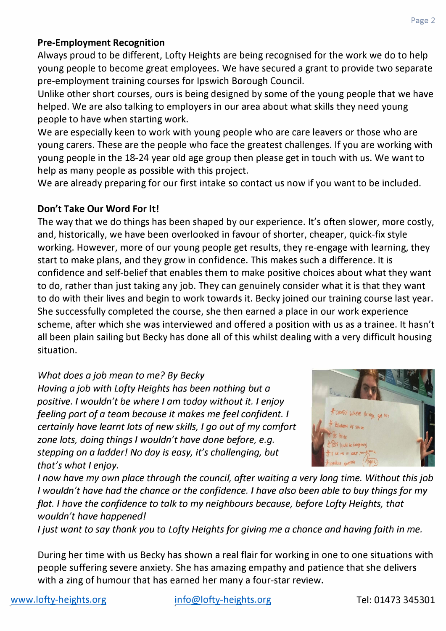## **Pre-Employment Recognition**

Always proud to be different, Lofty Heights are being recognised for the work we do to help young people to become great employees. We have secured a grant to provide two separate pre-employment training courses for Ipswich Borough Council.

Unlike other short courses, ours is being designed by some of the young people that we have helped. We are also talking to employers in our area about what skills they need young people to have when starting work.

We are especially keen to work with young people who are care leavers or those who are young carers. These are the people who face the greatest challenges. If you are working with young people in the 18-24 year old age group then please get in touch with us. We want to help as many people as possible with this project.

We are already preparing for our first intake so contact us now if you want to be included.

## **Don't Take Our Word For It!**

The way that we do things has been shaped by our experience. It's often slower, more costly, and, historically, we have been overlooked in favour of shorter, cheaper, quick-fix style working. However, more of our young people get results, they re-engage with learning, they start to make plans, and they grow in confidence. This makes such a difference. It is confidence and self-belief that enables them to make positive choices about what they want to do, rather than just taking any job. They can genuinely consider what it is that they want to do with their lives and begin to work towards it. Becky joined our training course last year. She successfully completed the course, she then earned a place in our work experience scheme, after which she was interviewed and offered a position with us as a trainee. It hasn't all been plain sailing but Becky has done all of this whilst dealing with a very difficult housing situation.

# *What does a job mean to me? By Becky*

*Having a job with Lofty Heights has been nothing but a positive. I wouldn't be where I am today without it. I enjoy feeling part of a team because it makes me feel confident. I certainly have learnt lots of new skills, I go out of my comfort zone lots, doing things I wouldn't have done before, e.g. stepping on a ladder! No day is easy, it's challenging, but that's what I enjoy.* 



*I now have my own place through the council, after waiting a very long time. Without this job I wouldn't have had the chance or the confidence. I have also been able to buy things for my flat. I have the confidence to talk to my neighbours because, before Lofty Heights, that wouldn't have happened I* 

*I just want to say thank you to Lofty Heights for giving me a chance and having faith in me.* 

During her time with us Becky has shown a real flair for working in one to one situations with people suffering severe anxiety. She has amazing empathy and patience that she delivers with a zing of humour that has earned her many a four-star review.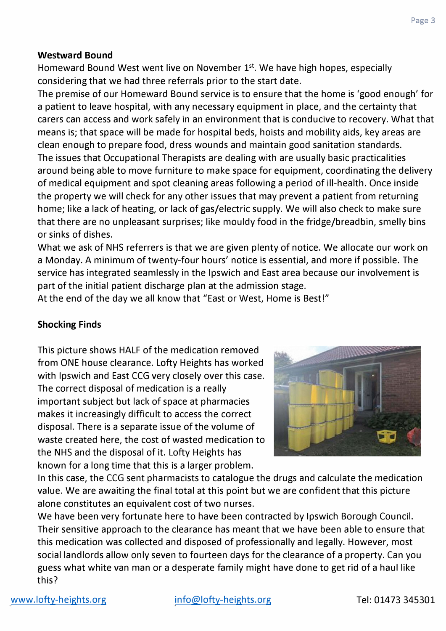#### **Westward Bound**

Homeward Bound West went live on November 1<sup>st</sup>. We have high hopes, especially considering that we had three referrals prior to the start date.

The premise of our Homeward Bound service is to ensure that the home is 'good enough' for a patient to leave hospital, with any necessary equipment in place, and the certainty that carers can access and work safely in an environment that is conducive to recovery. What that means is; that space will be made for hospital beds, hoists and mobility aids, key areas are clean enough to prepare food, dress wounds and maintain good sanitation standards. The issues that Occupational Therapists are dealing with are usually basic practicalities around being able to move furniture to make space for equipment, coordinating the delivery of medical equipment and spot cleaning areas following a period of ill-health. Once inside the property we will check for any other issues that may prevent a patient from returning home; like a lack of heating, or lack of gas/electric supply. We will also check to make sure that there are no unpleasant surprises; like mouldy food in the fridge/bread bin, smelly bins or sinks of dishes.

What we ask of NHS referrers is that we are given plenty of notice. We allocate our work on a Monday. A minimum of twenty-four hours' notice is essential, and more if possible. The service has integrated seamlessly in the Ipswich and East area because our involvement is part of the initial patient discharge plan at the admission stage.

At the end of the day we all know that "East or West, Home is Best!"

## **Shocking Finds**

This picture shows HALF of the medication removed from ONE house clearance. Lofty Heights has worked with Ipswich and East CCG very closely over this case. The correct disposal of medication is a really important subject but lack of space at pharmacies makes it increasingly difficult to access the correct disposal. There is a separate issue of the volume of waste created here, the cost of wasted medication to the NHS and the disposal of it. Lofty Heights has known for a long time that this is a larger problem.



In this case, the CCG sent pharmacists to catalogue the drugs and calculate the medication value. We are awaiting the final total at this point but we are confident that this picture alone constitutes an equivalent cost of two nurses.

We have been very fortunate here to have been contracted by Ipswich Borough Council. Their sensitive approach to the clearance has meant that we have been able to ensure that this medication was collected and disposed of professionally and legally. However, most social landlords allow only seven to fourteen days for the clearance of a property. Can you guess what white van man or a desperate family might have done to get rid of a haul like this?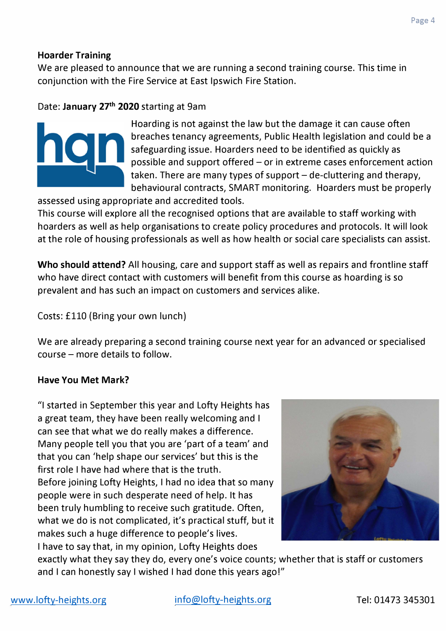#### **Hoarder Training**

We are pleased to announce that we are running a second training course. This time in conjunction with the Fire Service at East Ipswich Fire Station.

## Date: **January 27th 2020** starting at 9am



Hoarding is not against the law but the damage it can cause often breaches tenancy agreements, Public Health legislation and could be a safeguarding issue. Hoarders need to be identified as quickly as possible and support offered - or in extreme cases enforcement action taken. There are many types of support  $-\text{d}$ e-cluttering and therapy, behavioural contracts, SMART monitoring. Hoarders must be properly

assessed using appropriate and accredited tools.

This course will explore all the recognised options that are available to staff working with hoarders as well as help organisations to create policy procedures and protocols. It will look at the role of housing professionals as well as how health or social care specialists can assist.

**Who should attend?** All housing, care and support staff as well as repairs and frontline staff who have direct contact with customers will benefit from this course as hoarding is so prevalent and has such an impact on customers and services alike.

Costs: £110 (Bring your own lunch)

We are already preparing a second training course next year for an advanced or specialised course - more details to follow.

#### **Have You Met Mark?**

"I started in September this year and Lofty Heights has a great team, they have been really welcoming and I can see that what we do really makes a difference. Many people tell you that you are 'part of a team' and that you can 'help shape our services' but this is the first role I have had where that is the truth. Before joining Lofty Heights, I had no idea that so many people were in such desperate need of help. It has been truly humbling to receive such gratitude. Often, what we do is not complicated, it's practical stuff, but it makes such a huge difference to people's lives. I have to say that, in my opinion, Lofty Heights does



exactly what they say they do, every one's voice counts; whether that is staff or customers and I can honestly say I wished I had done this years ago!"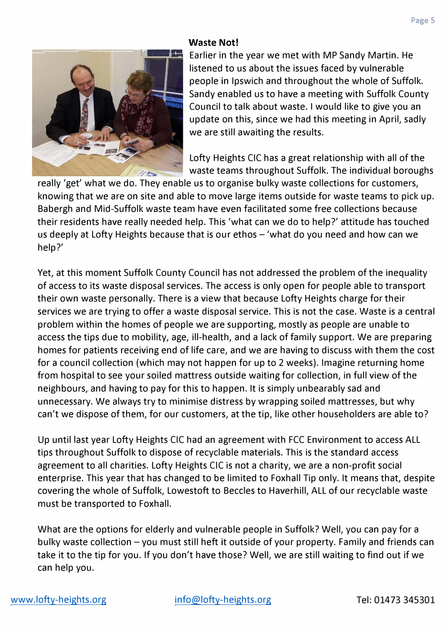#### **Waste Not!**



Earlier in the year we met with MP Sandy Martin. He listened to us about the issues faced by vulnerable people in Ipswich and throughout the whole of Suffolk. Sandy enabled us to have a meeting with Suffolk County Council to talk about waste. I would like to give you an update on this, since we had this meeting in April, sadly we are still awaiting the results.

Lofty Heights CIC has a great relationship with all of the waste teams throughout Suffolk. The individual boroughs

really 'get' what we do. They enable us to organise bulky waste collections for customers, knowing that we are on site and able to move large items outside for waste teams to pick up. Babergh and Mid-Suffolk waste team have even facilitated some free collections because their residents have really needed help. This 'what can we do to help?' attitude has touched us deeply at Lofty Heights because that is our ethos  $-$  'what do you need and how can we help?'

Yet, at this moment Suffolk County Council has not addressed the problem of the inequality of access to its waste disposal services. The access is only open for people able to transport their own waste personally. There is a view that because Lofty Heights charge for their services we are trying to offer a waste disposal service. This is not the case. Waste is a central problem within the homes of people we are supporting, mostly as people are unable to access the tips due to mobility, age, ill-health, and a lack of family support. We are preparing homes for patients receiving end of life care, and we are having to discuss with them the cost for a council collection (which may not happen for up to 2 weeks). Imagine returning home from hospital to see your soiled mattress outside waiting for collection, in full view of the neighbours, and having to pay for this to happen. It is simply unbearably sad and unnecessary. We always try to minimise distress by wrapping soiled mattresses, but why can't we dispose of them, for our customers, at the tip, like other householders are able to?

Up until last year Lofty Heights CIC had an agreement with FCC Environment to access ALL tips throughout Suffolk to dispose of recyclable materials. This is the standard access agreement to all charities. Lofty Heights CIC is not a charity, we are a non-profit social enterprise. This year that has changed to be limited to Foxhall Tip only. It means that, despite covering the whole of Suffolk, Lowestoft to Beccles to Haverhill, ALL of our recyclable waste must be transported to Foxhall.

What are the options for elderly and vulnerable people in Suffolk? Well, you can pay for a bulky waste collection – you must still heft it outside of your property. Family and friends can take it to the tip for you. If you don't have those? Well, we are still waiting to find out if we can help you.